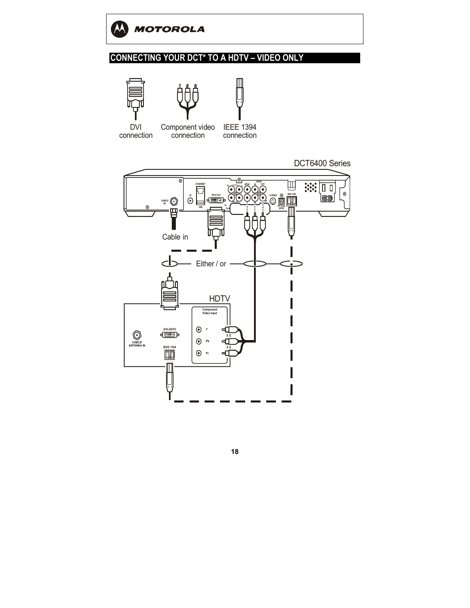

#### **CONNECTING YOUR DCT\* TO A HDTV - VIDEO ONLY**







DVI connection

Component video connection

IEEE 1394 connection

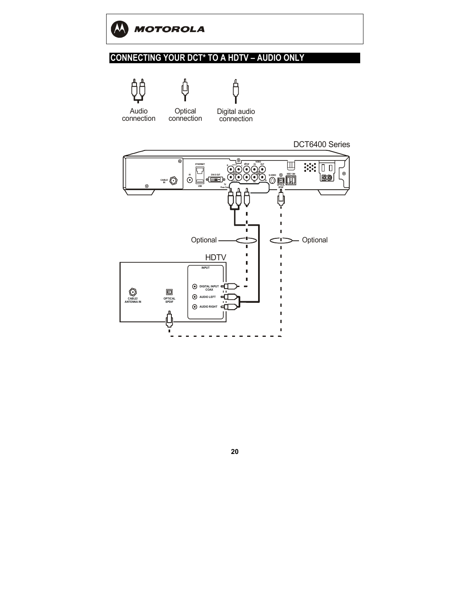

### **CONNECTING YOUR DCT\* TO A HDTV - AUDIO ONLY**



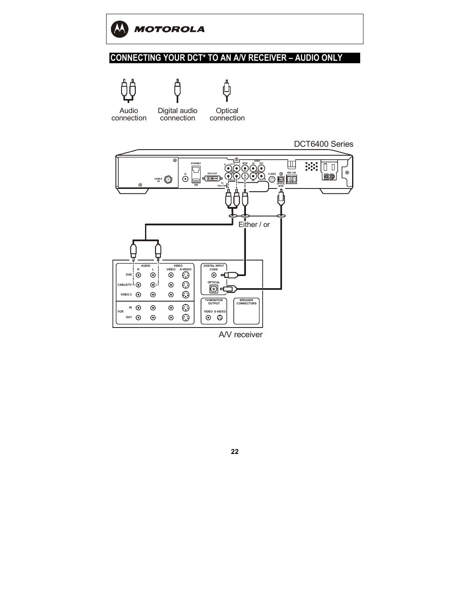

### **CONNECTING YOUR DCT\* TO AN A/V RECEIVER - AUDIO ONLY**







Audio connection

Digital audio connection

**Optical** connection



A/V receiver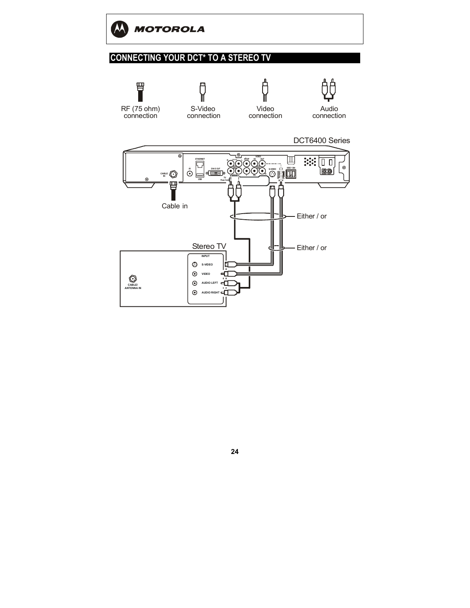

## **CONNECTING YOUR DCT\* TO A STEREO TV**

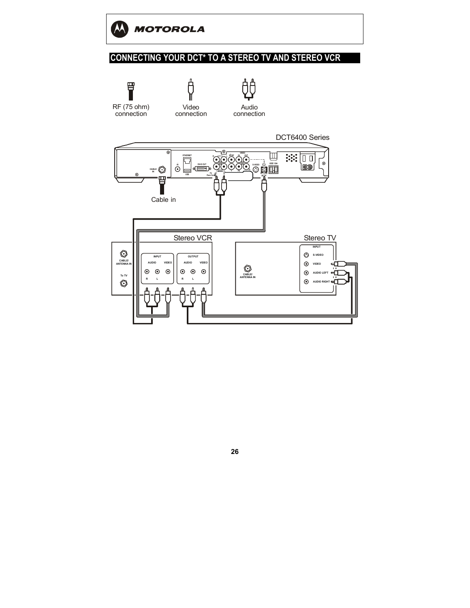

### **CONNECTING YOUR DCT\* TO A STEREO TV AND STEREO VCR**

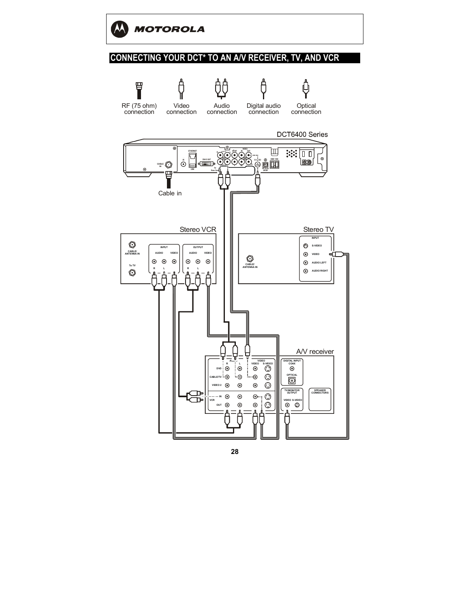

#### **CONNECTING YOUR DCT\* TO AN A/V RECEIVER, TV, AND VCR**

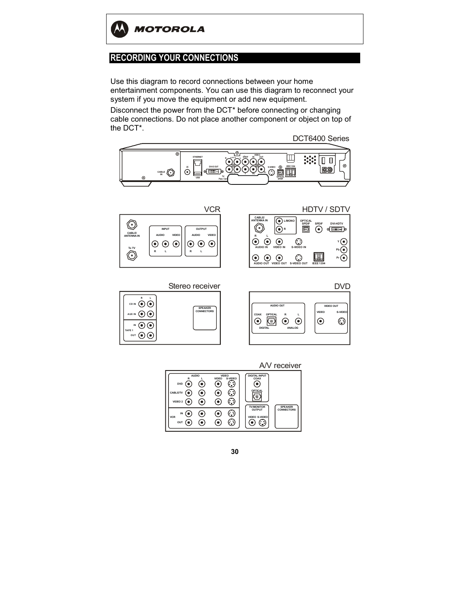

### **RECORDING YOUR CONNECTIONS**

Use this diagram to record connections between your home entertainment components. You can use this diagram to reconnect your system if you move the equipment or add new equipment.

Disconnect the power from the DCT\* before connecting or changing cable connections. Do not place another component or object on top of the DCT\*.

DCT6400 Series





HDTV / SDTV



Stereo receiver





A/V receiver